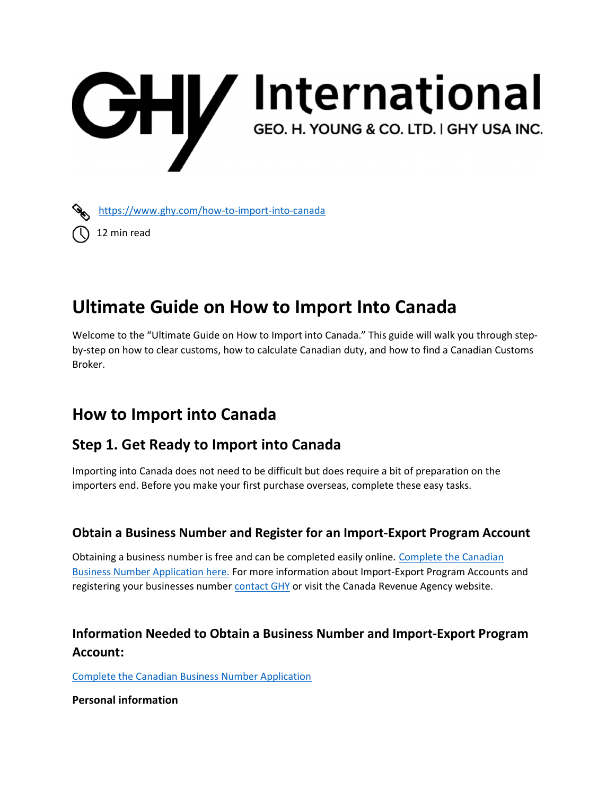

https://www.ghy.com/how-to-import-into-canada

12 min read

# Ultimate Guide on How to Import Into Canada

Welcome to the "Ultimate Guide on How to Import into Canada." This guide will walk you through stepby-step on how to clear customs, how to calculate Canadian duty, and how to find a Canadian Customs Broker.

## How to Import into Canada

### Step 1. Get Ready to Import into Canada

Importing into Canada does not need to be difficult but does require a bit of preparation on the importers end. Before you make your first purchase overseas, complete these easy tasks.

### Obtain a Business Number and Register for an Import-Export Program Account

Obtaining a business number is free and can be completed easily online. Complete the Canadian Business Number Application here. For more information about Import-Export Program Accounts and registering your businesses number contact GHY or visit the Canada Revenue Agency website.

### Information Needed to Obtain a Business Number and Import-Export Program Account:

Complete the Canadian Business Number Application

Personal information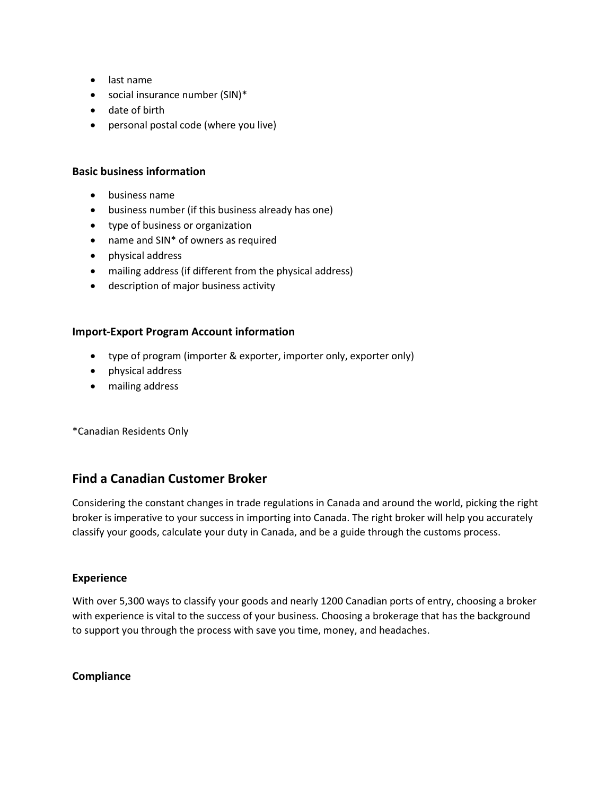- last name
- social insurance number (SIN)\*
- date of birth
- personal postal code (where you live)

#### Basic business information

- business name
- business number (if this business already has one)
- type of business or organization
- name and SIN<sup>\*</sup> of owners as required
- physical address
- mailing address (if different from the physical address)
- description of major business activity

#### Import-Export Program Account information

- type of program (importer & exporter, importer only, exporter only)
- physical address
- mailing address

\*Canadian Residents Only

#### Find a Canadian Customer Broker

Considering the constant changes in trade regulations in Canada and around the world, picking the right broker is imperative to your success in importing into Canada. The right broker will help you accurately classify your goods, calculate your duty in Canada, and be a guide through the customs process.

#### Experience

With over 5,300 ways to classify your goods and nearly 1200 Canadian ports of entry, choosing a broker with experience is vital to the success of your business. Choosing a brokerage that has the background to support you through the process with save you time, money, and headaches.

#### **Compliance**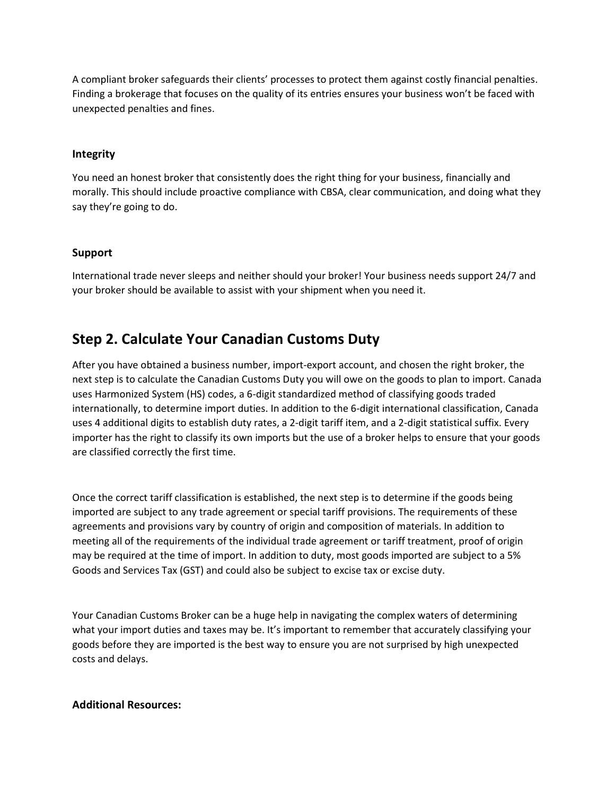A compliant broker safeguards their clients' processes to protect them against costly financial penalties. Finding a brokerage that focuses on the quality of its entries ensures your business won't be faced with unexpected penalties and fines.

#### Integrity

You need an honest broker that consistently does the right thing for your business, financially and morally. This should include proactive compliance with CBSA, clear communication, and doing what they say they're going to do.

#### Support

International trade never sleeps and neither should your broker! Your business needs support 24/7 and your broker should be available to assist with your shipment when you need it.

### Step 2. Calculate Your Canadian Customs Duty

After you have obtained a business number, import-export account, and chosen the right broker, the next step is to calculate the Canadian Customs Duty you will owe on the goods to plan to import. Canada uses Harmonized System (HS) codes, a 6-digit standardized method of classifying goods traded internationally, to determine import duties. In addition to the 6-digit international classification, Canada uses 4 additional digits to establish duty rates, a 2-digit tariff item, and a 2-digit statistical suffix. Every importer has the right to classify its own imports but the use of a broker helps to ensure that your goods are classified correctly the first time.

Once the correct tariff classification is established, the next step is to determine if the goods being imported are subject to any trade agreement or special tariff provisions. The requirements of these agreements and provisions vary by country of origin and composition of materials. In addition to meeting all of the requirements of the individual trade agreement or tariff treatment, proof of origin may be required at the time of import. In addition to duty, most goods imported are subject to a 5% Goods and Services Tax (GST) and could also be subject to excise tax or excise duty.

Your Canadian Customs Broker can be a huge help in navigating the complex waters of determining what your import duties and taxes may be. It's important to remember that accurately classifying your goods before they are imported is the best way to ensure you are not surprised by high unexpected costs and delays.

#### Additional Resources: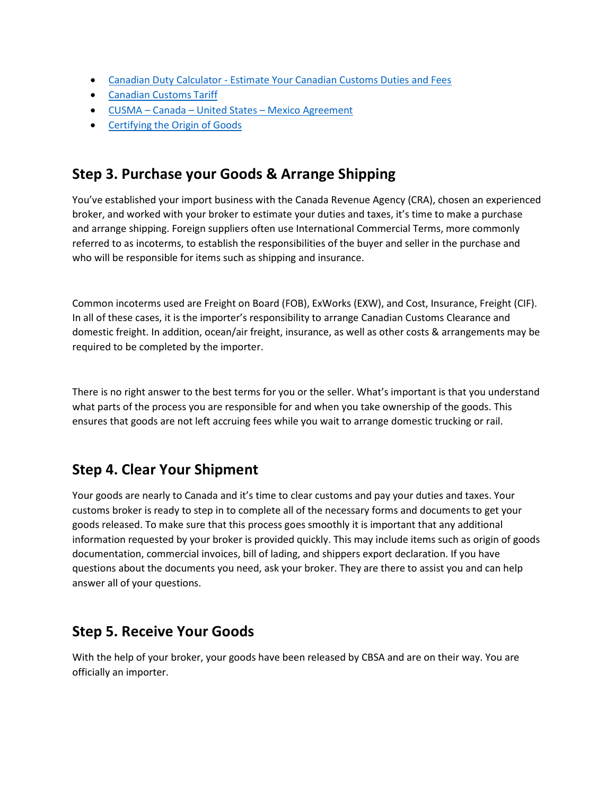- Canadian Duty Calculator Estimate Your Canadian Customs Duties and Fees
- Canadian Customs Tariff
- CUSMA Canada United States Mexico Agreement
- Certifying the Origin of Goods

### Step 3. Purchase your Goods & Arrange Shipping

You've established your import business with the Canada Revenue Agency (CRA), chosen an experienced broker, and worked with your broker to estimate your duties and taxes, it's time to make a purchase and arrange shipping. Foreign suppliers often use International Commercial Terms, more commonly referred to as incoterms, to establish the responsibilities of the buyer and seller in the purchase and who will be responsible for items such as shipping and insurance.

Common incoterms used are Freight on Board (FOB), ExWorks (EXW), and Cost, Insurance, Freight (CIF). In all of these cases, it is the importer's responsibility to arrange Canadian Customs Clearance and domestic freight. In addition, ocean/air freight, insurance, as well as other costs & arrangements may be required to be completed by the importer.

There is no right answer to the best terms for you or the seller. What's important is that you understand what parts of the process you are responsible for and when you take ownership of the goods. This ensures that goods are not left accruing fees while you wait to arrange domestic trucking or rail.

### Step 4. Clear Your Shipment

Your goods are nearly to Canada and it's time to clear customs and pay your duties and taxes. Your customs broker is ready to step in to complete all of the necessary forms and documents to get your goods released. To make sure that this process goes smoothly it is important that any additional information requested by your broker is provided quickly. This may include items such as origin of goods documentation, commercial invoices, bill of lading, and shippers export declaration. If you have questions about the documents you need, ask your broker. They are there to assist you and can help answer all of your questions.

### Step 5. Receive Your Goods

With the help of your broker, your goods have been released by CBSA and are on their way. You are officially an importer.